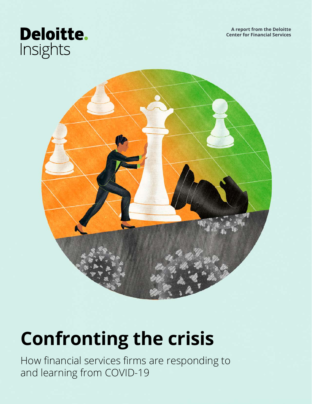**A report from the Deloitte Center for Financial Services**

# **Deloitte.** Insights



# **Confronting the crisis**

How financial services firms are responding to and learning from COVID-19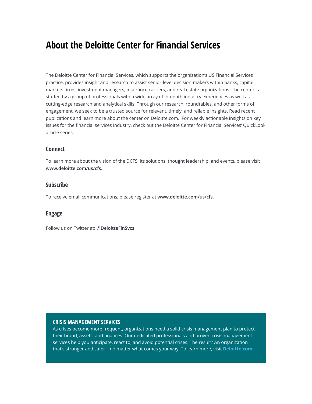# **About the Deloitte Center for Financial Services**

The Deloitte Center for Financial Services, which supports the organization's US Financial Services practice, provides insight and research to assist senior-level decision-makers within banks, capital markets firms, investment managers, insurance carriers, and real estate organizations. The center is staffed by a group of professionals with a wide array of in-depth industry experiences as well as cutting-edge research and analytical skills. Through our research, roundtables, and other forms of engagement, we seek to be a trusted source for relevant, timely, and reliable insights. Read recent publications and learn more about the center on Deloitte.com. For weekly actionable insights on key issues for the financial services industry, check out the Deloitte Center for Financial Services' QuickLook article series.

### **Connect**

To learn more about the vision of the DCFS, its solutions, thought leadership, and events, please visit **[www.deloitte.com/us/cfs](http://www.deloitte.com/us/cfs)**.

### **Subscribe**

To receive email communications, please register at **[www.deloitte.com/us/cfs](http://www.deloitte.com/us/cfs)**.

### **Engage**

Follow us on Twitter at: **[@DeloitteFinSvcs](https://twitter.com/DeloitteFinSvcs)**

#### **CRISIS MANAGEMENT SERVICES**

As crises become more frequent, organizations need a solid crisis management plan to protect their brand, assets, and finances. Our dedicated professionals and proven crisis management services help you anticipate, react to, and avoid potential crises. The result? An organization that's stronger and safer—no matter what comes your way. To learn more, visit **[Deloitte.com](https://www2.deloitte.com/us/en/pages/advisory/solutions/crisis-management-services.html)**.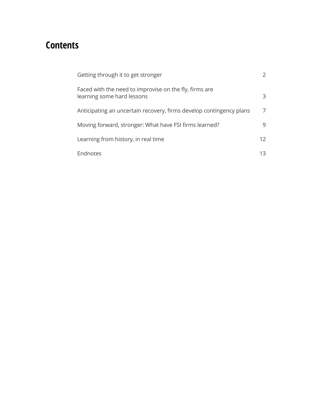# **Contents**

| Getting through it to get stronger                                                   |    |
|--------------------------------------------------------------------------------------|----|
| Faced with the need to improvise on the fly, firms are<br>learning some hard lessons | 3  |
| Anticipating an uncertain recovery, firms develop contingency plans                  | 7  |
| Moving forward, stronger: What have FSI firms learned?                               | 9  |
| Learning from history, in real time                                                  | 12 |
| Endnotes                                                                             | 13 |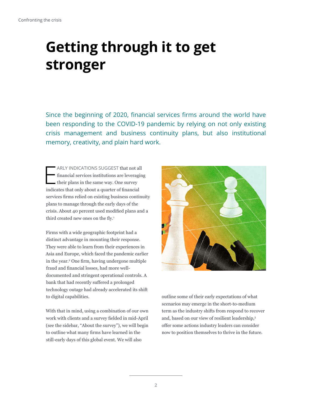# <span id="page-3-0"></span>**Getting through it to get stronger**

Since the beginning of 2020, financial services firms around the world have been responding to the COVID-19 pandemic by relying on not only existing crisis management and business continuity plans, but also institutional memory, creativity, and plain hard work.

E ARLY INDICATIONS SUGGEST that not all financial services institutions are leveraging their plans in the same way. One survey indicates that only about a quarter of financial services firms relied on existing business continuity plans to manage through the early days of the crisis. About 40 percent used modified plans and a third created new ones on the fly.<sup>1</sup>

Firms with a wide geographic footprint had a distinct advantage in mounting their response. They were able to learn from their experiences in Asia and Europe, which faced the pandemic earlier in the year.<sup>2</sup> One firm, having undergone multiple fraud and financial losses, had more welldocumented and stringent operational controls. A bank that had recently suffered a prolonged technology outage had already accelerated its shift to digital capabilities.

With that in mind, using a combination of our own work with clients and a survey fielded in mid-April (see the sidebar, "About the survey"), we will begin to outline what many firms have learned in the still-early days of this global event. We will also



outline some of their early expectations of what scenarios may emerge in the short-to-medium term as the industry shifts from respond to recover and, based on our view of resilient leadership,<sup>3</sup> offer some actions industry leaders can consider now to position themselves to thrive in the future.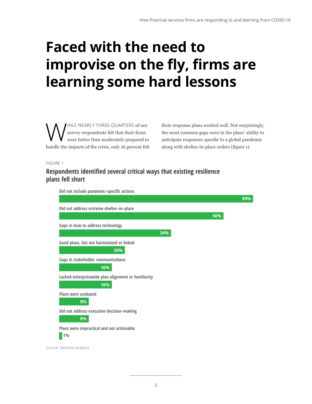# <span id="page-4-0"></span>**Faced with the need to improvise on the fly, firms are learning some hard lessons**

WHILE NEARLY THREE-QUARTERS of our<br>were better than moderately prepared to survey respondents felt that their firms were better than moderately prepared to handle the impacts of the crisis, only 16 percent felt

their response plans worked well. Not surprisingly, the most common gaps were in the plans' ability to anticipate responses specific to a global pandemic along with shelter-in-place orders (figure 1).

#### FIGURE 1

## **Respondents identified several critical ways that existing resilience plans fell short**

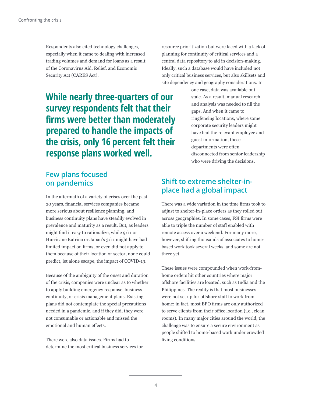Respondents also cited technology challenges, especially when it came to dealing with increased trading volumes and demand for loans as a result of the Coronavirus Aid, Relief, and Economic Security Act (CARES Act).

**While nearly three-quarters of our survey respondents felt that their firms were better than moderately prepared to handle the impacts of the crisis, only 16 percent felt their response plans worked well.**

## **Few plans focused on pandemics**

In the aftermath of a variety of crises over the past 20 years, financial services companies became more serious about resilience planning, and business continuity plans have steadily evolved in prevalence and maturity as a result. But, as leaders might find it easy to rationalize, while 9/11 or Hurricane Katrina or Japan's 3/11 might have had limited impact on firms, or even did not apply to them because of their location or sector, none could predict, let alone escape, the impact of COVID-19.

Because of the ambiguity of the onset and duration of the crisis, companies were unclear as to whether to apply building emergency response, business continuity, or crisis management plans. Existing plans did not contemplate the special precautions needed in a pandemic, and if they did, they were not consumable or actionable and missed the emotional and human effects.

There were also data issues. Firms had to determine the most critical business services for

### resource prioritization but were faced with a lack of planning for continuity of critical services and a central data repository to aid in decision-making. Ideally, such a database would have included not only critical business services, but also skillsets and site dependency and geography considerations. In

one case, data was available but stale. As a result, manual research and analysis was needed to fill the gaps. And when it came to ringfencing locations, where some corporate security leaders might have had the relevant employee and guest information, these departments were often disconnected from senior leadership who were driving the decisions.

# **Shift to extreme shelter-inplace had a global impact**

There was a wide variation in the time firms took to adjust to shelter-in-place orders as they rolled out across geographies. In some cases, FSI firms were able to triple the number of staff enabled with remote access over a weekend. For many more, however, shifting thousands of associates to homebased work took several weeks, and some are not there yet.

These issues were compounded when work-fromhome orders hit other countries where major offshore facilities are located, such as India and the Philippines. The reality is that most businesses were not set up for offshore staff to work from home; in fact, most BPO firms are only authorized to serve clients from their office location (i.e., clean rooms). In many major cities around the world, the challenge was to ensure a secure environment as people shifted to home-based work under crowded living conditions.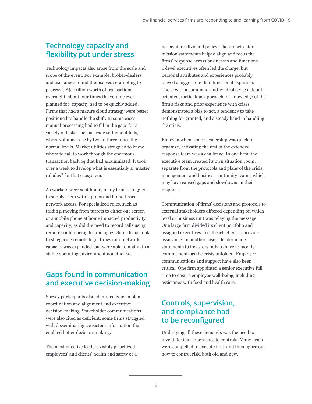# **Technology capacity and flexibility put under stress**

Technology impacts also arose from the scale and scope of the event. For example, broker-dealers and exchanges found themselves scrambling to process US\$1 trillion worth of transactions overnight, about four times the volume ever planned for; capacity had to be quickly added. Firms that had a mature cloud strategy were better positioned to handle the shift. In some cases, manual processing had to fill in the gaps for a variety of tasks, such as trade settlement fails, where volumes rose by two to three times the normal levels. Market utilities struggled to know whom to call to work through the enormous transaction backlog that had accumulated. It took over a week to develop what is essentially a "master rolodex" for that ecosystem.

As workers were sent home, many firms struggled to supply them with laptops and home-based network access. For specialized roles, such as trading, moving from turrets to either one screen or a mobile phone at home impacted productivity and capacity, as did the need to record calls using remote conferencing technologies. Some firms took to staggering remote login times until network capacity was expanded, but were able to maintain a stable operating environment nonetheless.

# **Gaps found in communication and executive decision-making**

Survey participants also identified gaps in plan coordination and alignment and executive decision-making. Stakeholder communications were also cited as deficient; some firms struggled with disseminating consistent information that enabled better decision-making.

The most effective leaders visibly prioritized employees' and clients' health and safety or a

no-layoff or dividend policy. These north-star mission statements helped align and focus the firms' response across businesses and functions. C-level executives often led the charge, but personal attributes and experiences probably played a bigger role than functional expertise. Those with a command-and-control style; a detailoriented, meticulous approach; or knowledge of the firm's risks and prior experience with crises demonstrated a bias to act, a tendency to take nothing for granted, and a steady hand in handling the crisis.

But even when senior leadership was quick to organize, activating the rest of the extended response team was a challenge. In one firm, the executive team created its own situation room, separate from the protocols and plans of the crisis management and business continuity teams, which may have caused gaps and slowdowns in their response.

Communication of firms' decisions and protocols to external stakeholders differed depending on which level or business unit was relaying the message. One large firm divided its client portfolio and assigned executives to call each client to provide assurance. In another case, a leader made statements to investors only to have to modify commitments as the crisis unfolded. Employee communications and support have also been critical. One firm appointed a senior executive full time to ensure employee well-being, including assistance with food and health care.

# **Controls, supervision, and compliance had to be reconfigured**

Underlying all these demands was the need to invent flexible approaches to controls. Many firms were compelled to execute first, and then figure out how to control risk, both old and new.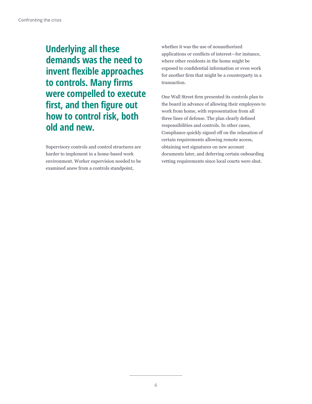**Underlying all these demands was the need to invent flexible approaches to controls. Many firms were compelled to execute first, and then figure out how to control risk, both old and new.**

Supervisory controls and control structures are harder to implement in a home-based work environment. Worker supervision needed to be examined anew from a controls standpoint,

whether it was the use of nonauthorized applications or conflicts of interest—for instance, where other residents in the home might be exposed to confidential information or even work for another firm that might be a counterparty in a transaction.

One Wall Street firm presented its controls plan to the board in advance of allowing their employees to work from home, with representation from all three lines of defense. The plan clearly defined responsibilities and controls. In other cases, Compliance quickly signed off on the relaxation of certain requirements allowing remote access, obtaining wet signatures on new account documents later, and deferring certain onboarding vetting requirements since local courts were shut.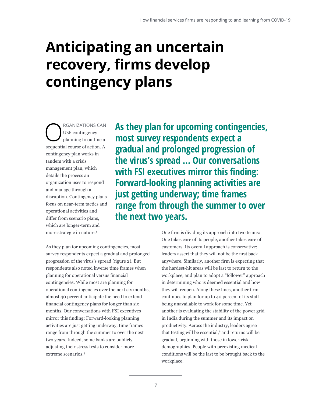# <span id="page-8-0"></span>**Anticipating an uncertain recovery, firms develop contingency plans**

**CORGANIZATIONS CAN**<br>USE contingency<br>planning to outline a USE contingency sequential course of action. A contingency plan works in tandem with a crisis management plan, which details the process an organization uses to respond and manage through a disruption. Contingency plans focus on near-term tactics and operational activities and differ from scenario plans, which are longer-term and more strategic in nature.4

**As they plan for upcoming contingencies, most survey respondents expect a gradual and prolonged progression of the virus's spread … Our conversations with FSI executives mirror this finding: Forward-looking planning activities are just getting underway; time frames range from through the summer to over the next two years.**

As they plan for upcoming contingencies, most survey respondents expect a gradual and prolonged progression of the virus's spread (figure 2). But respondents also noted inverse time frames when planning for operational versus financial contingencies. While most are planning for operational contingencies over the next six months, almost 40 percent anticipate the need to extend financial contingency plans for longer than six months. Our conversations with FSI executives mirror this finding: Forward-looking planning activities are just getting underway; time frames range from through the summer to over the next two years. Indeed, some banks are publicly adjusting their stress tests to consider more extreme scenarios.<sup>5</sup>

One firm is dividing its approach into two teams: One takes care of its people, another takes care of customers. Its overall approach is conservative; leaders assert that they will not be the first back anywhere. Similarly, another firm is expecting that the hardest-hit areas will be last to return to the workplace, and plan to adopt a "follower" approach in determining who is deemed essential and how they will reopen. Along these lines, another firm continues to plan for up to 40 percent of its staff being unavailable to work for some time. Yet another is evaluating the stability of the power grid in India during the summer and its impact on productivity. Across the industry, leaders agree that testing will be essential,<sup>6</sup> and returns will be gradual, beginning with those in lower-risk demographics. People with preexisting medical conditions will be the last to be brought back to the workplace.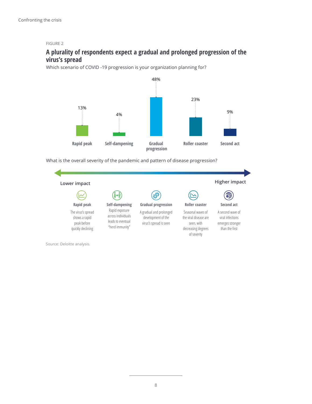#### FIGURE 2

## **A plurality of respondents expect a gradual and prolonged progression of the virus's spread**

Which scenario of COVID -19 progression is your organization planning for?



What is the overall severity of the pandemic and pattern of disease progression?



Source: Deloitte analysis.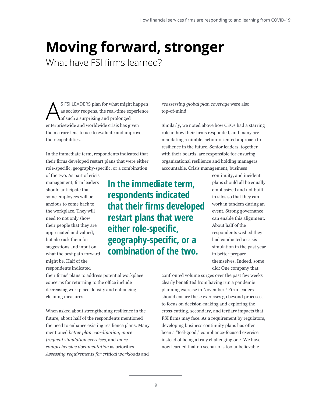# <span id="page-10-0"></span>**Moving forward, stronger**

What have FSI firms learned?

S FSI LEADERS plan for what might happen<br>as society reopens, the real-time experience<br>of such a surprising and prolonged as society reopens, the real-time experience of such a surprising and prolonged enterprisewide and worldwide crisis has given them a rare lens to use to evaluate and improve their capabilities.

In the immediate term, respondents indicated that their firms developed restart plans that were either role-specific, geography-specific, or a combination

of the two. As part of crisis management, firm leaders should anticipate that some employees will be anxious to come back to the workplace. They will need to not only show their people that they are appreciated and valued, but also ask them for suggestions and input on what the best path forward might be. Half of the respondents indicated

**In the immediate term, respondents indicated that their firms developed restart plans that were either role-specific, geography-specific, or a combination of the two.**

*reassessing global plan coverage* were also top-of-mind.

Similarly, we noted above how CEOs had a starring role in how their firms responded, and many are mandating a nimble, action-oriented approach to resilience in the future. Senior leaders, together with their boards, are responsible for ensuring organizational resilience and holding managers accountable. Crisis management, business

> continuity, and incident plans should all be equally emphasized and not built in silos so that they can work in tandem during an event. Strong governance can enable this alignment. About half of the respondents wished they had conducted a crisis simulation in the past year to better prepare themselves. Indeed, some did: One company that

their firms' plans to address potential workplace concerns for returning to the office include decreasing workplace density and enhancing cleaning measures.

When asked about strengthening resilience in the future, about half of the respondents mentioned the need to enhance existing resilience plans. Many mentioned *better plan coordination*, *more frequent simulation exercises*, and *more comprehensive documentation* as priorities. *Assessing requirements for critical workloads* and

confronted volume surges over the past few weeks clearly benefitted from having run a pandemic planning exercise in November.<sup>7</sup> Firm leaders should ensure these exercises go beyond processes to focus on decision-making and exploring the cross-cutting, secondary, and tertiary impacts that FSI firms may face. As a requirement by regulators, developing business continuity plans has often been a "feel-good," compliance-focused exercise instead of being a truly challenging one. We have now learned that no scenario is too unbelievable.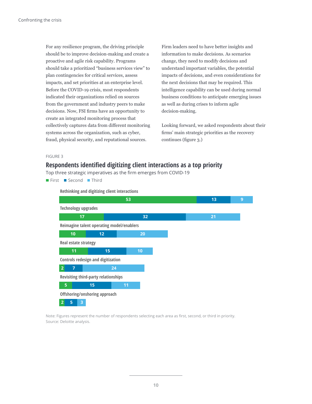For any resilience program, the driving principle should be to improve decision-making and create a proactive and agile risk capability. Programs should take a prioritized "business services view" to plan contingencies for critical services, assess impacts, and set priorities at an enterprise level. Before the COVID-19 crisis, most respondents indicated their organizations relied on sources from the government and industry peers to make decisions. Now, FSI firms have an opportunity to create an integrated monitoring process that collectively captures data from different monitoring systems across the organization, such as cyber, fraud, physical security, and reputational sources.

Firm leaders need to have better insights and information to make decisions. As scenarios change, they need to modify decisions and understand important variables, the potential impacts of decisions, and even considerations for the next decisions that may be required. This intelligence capability can be used during normal business conditions to anticipate emerging issues as well as during crises to inform agile decision-making.

Looking forward, we asked respondents about their firms' main strategic priorities as the recovery continues (figure 3.)

#### FIGURE 3

### **Respondents identified digitizing client interactions as a top priority**

Top three strategic imperatives as the firm emerges from COVID-19

First Second Third



**Rethinking and digitizing client interactions**

Source: Deloitte analysis. Note: Figures represent the number of respondents selecting each area as first, second, or third in priority.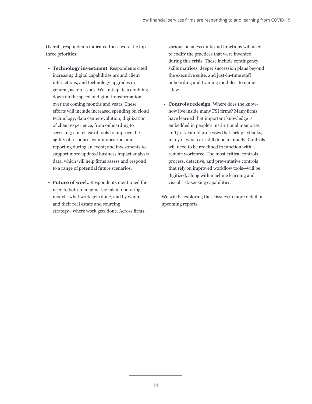Overall, respondents indicated these were the top three priorities:

- **Technology investment**. Respondents cited increasing digital capabilities around client interactions, and technology upgrades in general, as top issues. We anticipate a doublingdown on the speed of digital transformation over the coming months and years. These efforts will include increased spending on cloud technology; data center evolution; digitization of client experience, from onboarding to servicing; smart use of tools to improve the agility of response, communication, and reporting during an event; and investments to support more updated business impact analysis data, which will help firms assess and respond to a range of potential future scenarios.
- **Future of work**. Respondents mentioned the need to both reimagine the talent operating model—what work gets done, and by whom and their real estate and sourcing strategy—where work gets done. Across firms,

various business units and functions will need to codify the practices that were invented during this crisis. These include contingency skills matrices, deeper succession plans beyond the executive suite, and just-in-time staff onboarding and training modules, to name a few.

• **Controls redesign**. Where does the knowhow live inside many FSI firms? Many firms have learned that important knowledge is embedded in people's institutional memories and 30-year old processes that lack playbooks, many of which are still done manually. Controls will need to be redefined to function with a remote workforce. The most critical controls process, detective, and preventative controls that rely on improved workflow tools—will be digitized, along with machine learning and visual risk-sensing capabilities.

We will be exploring these issues in more detail in upcoming reports.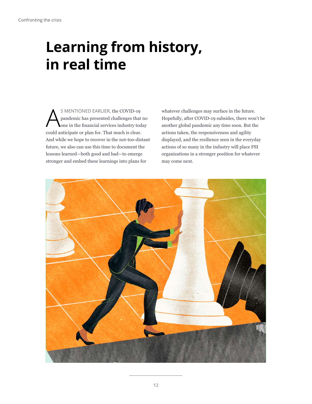# <span id="page-13-0"></span>**Learning from history, in real time**

S MENTIONED EARLIER, the COVID-19<br>pandemic has presented challenges that<br>one in the financial services industry to<br>and artiting to such for The trunch is above. pandemic has presented challenges that no one in the financial services industry today could anticipate or plan for. That much is clear. And while we hope to recover in the not-too-distant future, we also can use this time to document the lessons learned—both good and bad—to emerge stronger and embed these learnings into plans for

whatever challenges may surface in the future. Hopefully, after COVID-19 subsides, there won't be another global pandemic any time soon. But the actions taken, the responsiveness and agility displayed, and the resilience seen in the everyday actions of so many in the industry will place FSI organizations in a stronger position for whatever may come next.

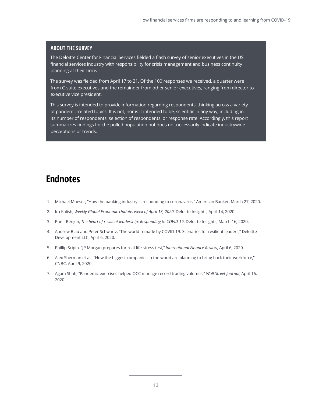### <span id="page-14-0"></span>**ABOUT THE SURVEY**

The Deloitte Center for Financial Services fielded a flash survey of senior executives in the US financial services industry with responsibility for crisis management and business continuity planning at their firms.

The survey was fielded from April 17 to 21. Of the 100 responses we received, a quarter were from C-suite executives and the remainder from other senior executives, ranging from director to executive vice president.

This survey is intended to provide information regarding respondents' thinking across a variety of pandemic-related topics. It is not, nor is it intended to be, scientific in any way, including in its number of respondents, selection of respondents, or response rate. Accordingly, this report summarizes findings for the polled population but does not necessarily indicate industrywide perceptions or trends.

# **Endnotes**

- 1. Michael Moeser, "How the banking industry is responding to coronavirus," American Banker, March 27, 2020.
- 2. Ira Kalish, *Weekly Global Economic Update, week of April 13, 2020*, Deloitte Insights, April 14, 2020.
- 3. Punit Renjen, *The heart of resilient leadership: Responding to COVID-19*, Deloitte Insights, March 16, 2020.
- 4. Andrew Blau and Peter Schwartz, "The world remade by COVID-19: Scenarios for resilient leaders," Deloitte Development LLC, April 6, 2020.
- 5. Phillip Scipio, "JP Morgan prepares for real-life stress test," *International Finance Review*, April 6, 2020.
- 6. Alex Sherman et al., "How the biggest companies in the world are planning to bring back their workforce," CNBC, April 9, 2020.
- 7. Agam Shah, "Pandemic exercises helped OCC manage record trading volumes," *Wall Street Journal*, April 16, 2020.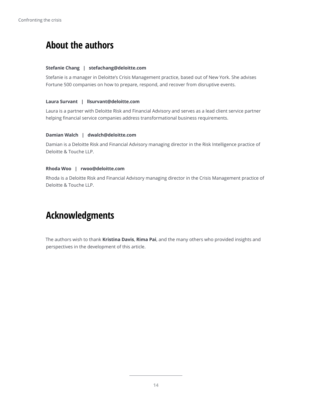# **About the authors**

#### **Stefanie Chang | stefachang@deloitte.com**

Stefanie is a manager in Deloitte's Crisis Management practice, based out of New York. She advises Fortune 500 companies on how to prepare, respond, and recover from disruptive events.

#### **Laura Survant | llsurvant@deloitte.com**

Laura is a partner with Deloitte Risk and Financial Advisory and serves as a lead client service partner helping financial service companies address transformational business requirements.

#### **Damian Walch | dwalch@deloitte.com**

Damian is a Deloitte Risk and Financial Advisory managing director in the Risk Intelligence practice of Deloitte & Touche LLP.

#### **Rhoda Woo | rwoo@deloitte.com**

Rhoda is a Deloitte Risk and Financial Advisory managing director in the Crisis Management practice of Deloitte & Touche LLP.

# **Acknowledgments**

The authors wish to thank **Kristina Davis**, **Rima Pai**, and the many others who provided insights and perspectives in the development of this article.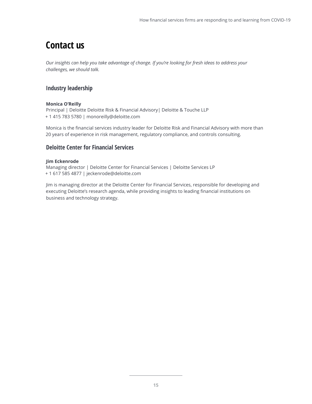# **Contact us**

*Our insights can help you take advantage of change. If you're looking for fresh ideas to address your challenges, we should talk.*

## **Industry leadership**

#### **Monica O'Reilly**

Principal | Deloitte Deloitte Risk & Financial Advisory| Deloitte & Touche LLP + 1 415 783 5780 | monoreilly@deloitte.com

Monica is the financial services industry leader for Deloitte Risk and Financial Advisory with more than 20 years of experience in risk management, regulatory compliance, and controls consulting.

### **Deloitte Center for Financial Services**

#### **Jim Eckenrode**

Managing director | Deloitte Center for Financial Services | Deloitte Services LP + 1 617 585 4877 | jeckenrode@deloitte.com

Jim is managing director at the Deloitte Center for Financial Services, responsible for developing and executing Deloitte's research agenda, while providing insights to leading financial institutions on business and technology strategy.